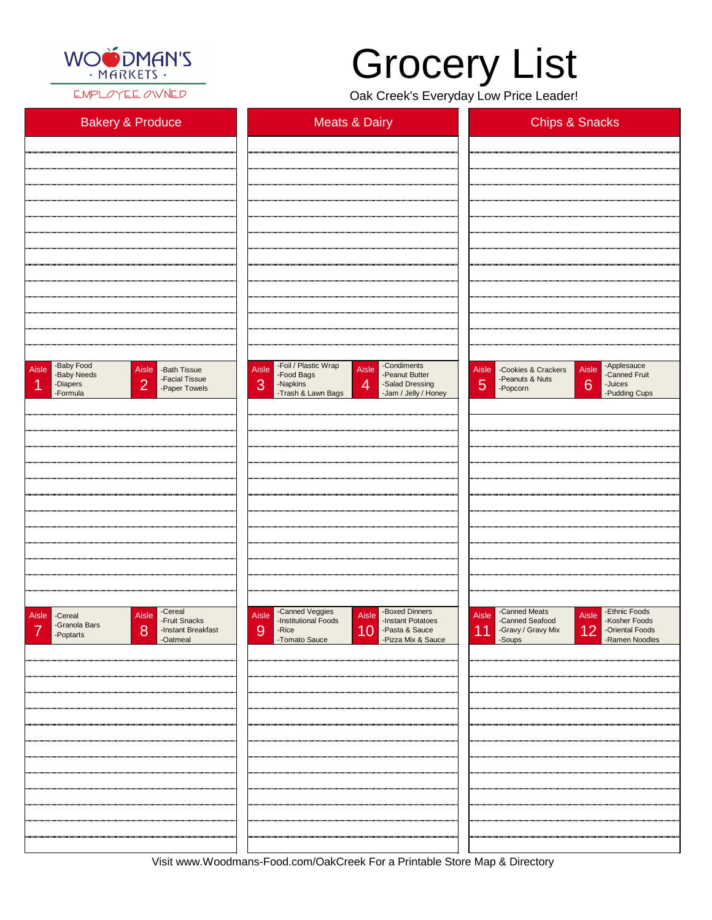

EMPLOYEE OWNED

| <b>Bakery &amp; Produce</b>                                                                                               | <b>Meats &amp; Dairy</b>                                                                                                                                                                  | <b>Chips &amp; Snacks</b>                                                                                                                  |  |
|---------------------------------------------------------------------------------------------------------------------------|-------------------------------------------------------------------------------------------------------------------------------------------------------------------------------------------|--------------------------------------------------------------------------------------------------------------------------------------------|--|
|                                                                                                                           |                                                                                                                                                                                           |                                                                                                                                            |  |
|                                                                                                                           |                                                                                                                                                                                           |                                                                                                                                            |  |
|                                                                                                                           |                                                                                                                                                                                           |                                                                                                                                            |  |
|                                                                                                                           |                                                                                                                                                                                           |                                                                                                                                            |  |
|                                                                                                                           |                                                                                                                                                                                           |                                                                                                                                            |  |
|                                                                                                                           |                                                                                                                                                                                           |                                                                                                                                            |  |
|                                                                                                                           |                                                                                                                                                                                           |                                                                                                                                            |  |
|                                                                                                                           |                                                                                                                                                                                           |                                                                                                                                            |  |
|                                                                                                                           |                                                                                                                                                                                           |                                                                                                                                            |  |
|                                                                                                                           |                                                                                                                                                                                           |                                                                                                                                            |  |
| -Baby Food<br>Aisle<br>Aisle Bath Tissue<br>-Baby Needs<br>-Facial Tissue<br> 2 <br>-Diapers<br>-Paper Towels<br>-Formula | -Foil / Plastic Wrap<br>-Condiments<br>Aisle<br>Aisle<br>-Peanut Butter<br>-Food Bags<br>3<br>$\overline{4}$<br>-Napkins<br>-Salad Dressing<br>-Trash & Lawn Bags<br>-Jam / Jelly / Honey | -Applesauce<br>Aisle<br>Aisle<br>-Cookies & Crackers<br>-Canned Fruit<br>-Peanuts & Nuts<br>5<br>6<br>-Juices<br>-Popcorn<br>-Pudding Cups |  |
|                                                                                                                           |                                                                                                                                                                                           |                                                                                                                                            |  |
|                                                                                                                           |                                                                                                                                                                                           |                                                                                                                                            |  |
|                                                                                                                           |                                                                                                                                                                                           |                                                                                                                                            |  |
|                                                                                                                           |                                                                                                                                                                                           |                                                                                                                                            |  |
|                                                                                                                           |                                                                                                                                                                                           |                                                                                                                                            |  |
|                                                                                                                           |                                                                                                                                                                                           |                                                                                                                                            |  |
|                                                                                                                           |                                                                                                                                                                                           |                                                                                                                                            |  |
|                                                                                                                           |                                                                                                                                                                                           |                                                                                                                                            |  |
|                                                                                                                           |                                                                                                                                                                                           |                                                                                                                                            |  |
| -Cereal<br>Aisle<br>Aisle Cereal<br>-Fruit Snacks<br>-Granola Bars                                                        | -Canned Veggies<br>-Institutional Foods<br>-Boxed Dinners<br>Aisle<br>Aisle<br>-Instant Potatoes                                                                                          | -Canned Meats<br>-Ethnic Foods<br><b>Aisle</b><br>Aisle<br>-Canned Seafood<br>-Kosher Foods                                                |  |

| -Granoia Bars<br>$\overline{\phantom{a}}$<br>-Poptarts | -Instant Breakfast<br>8<br>-Oatmeal | 9<br>-Rice<br>-Tomato Sauce | 10 -Pasta & Sauce<br>-Pizza Mix & Sauce | 11 -Gravy / Gravy Mix 12 | -Oriental Foods<br>-Ramen Noodles |
|--------------------------------------------------------|-------------------------------------|-----------------------------|-----------------------------------------|--------------------------|-----------------------------------|
|                                                        |                                     |                             |                                         |                          |                                   |
|                                                        |                                     |                             |                                         |                          |                                   |
|                                                        |                                     |                             |                                         |                          |                                   |
|                                                        |                                     |                             |                                         |                          |                                   |
|                                                        |                                     |                             |                                         |                          |                                   |
|                                                        |                                     |                             |                                         |                          |                                   |
|                                                        |                                     |                             |                                         |                          |                                   |
|                                                        |                                     |                             |                                         |                          |                                   |
|                                                        |                                     |                             |                                         |                          |                                   |
|                                                        |                                     |                             |                                         |                          |                                   |
|                                                        |                                     |                             |                                         |                          |                                   |

Visit www.Woodmans-Food.com/OakCreek For a Printable Store Map & Directory

## Grocery List

Oak Creek's Everyday Low Price Leader!